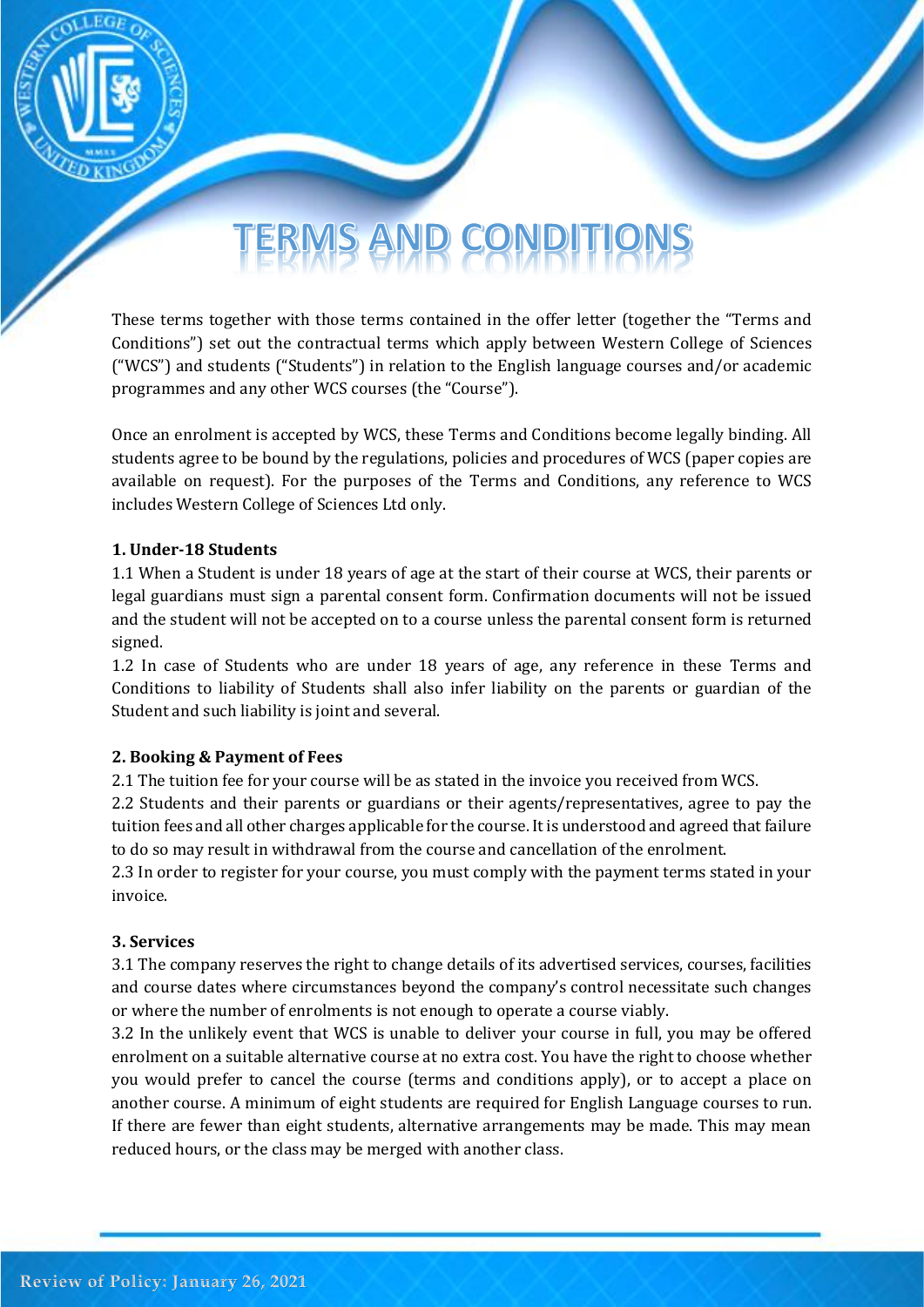# TERMS AND CONDIT

These terms together with those terms contained in the offer letter (together the "Terms and Conditions") set out the contractual terms which apply between Western College of Sciences ("WCS") and students ("Students") in relation to the English language courses and/or academic programmes and any other WCS courses (the "Course").

Once an enrolment is accepted by WCS, these Terms and Conditions become legally binding. All students agree to be bound by the regulations, policies and procedures of WCS (paper copies are available on request). For the purposes of the Terms and Conditions, any reference to WCS includes Western College of Sciences Ltd only.

### **1. Under-18 Students**

1.1 When a Student is under 18 years of age at the start of their course at WCS, their parents or legal guardians must sign a parental consent form. Confirmation documents will not be issued and the student will not be accepted on to a course unless the parental consent form is returned signed.

1.2 In case of Students who are under 18 years of age, any reference in these Terms and Conditions to liability of Students shall also infer liability on the parents or guardian of the Student and such liability is joint and several.

### **2. Booking & Payment of Fees**

2.1 The tuition fee for your course will be as stated in the invoice you received from WCS.

2.2 Students and their parents or guardians or their agents/representatives, agree to pay the tuition fees and all other charges applicable for the course. It is understood and agreed that failure to do so may result in withdrawal from the course and cancellation of the enrolment.

2.3 In order to register for your course, you must comply with the payment terms stated in your invoice.

### **3. Services**

3.1 The company reserves the right to change details of its advertised services, courses, facilities and course dates where circumstances beyond the company's control necessitate such changes or where the number of enrolments is not enough to operate a course viably.

3.2 In the unlikely event that WCS is unable to deliver your course in full, you may be offered enrolment on a suitable alternative course at no extra cost. You have the right to choose whether you would prefer to cancel the course (terms and conditions apply), or to accept a place on another course. A minimum of eight students are required for English Language courses to run. If there are fewer than eight students, alternative arrangements may be made. This may mean reduced hours, or the class may be merged with another class.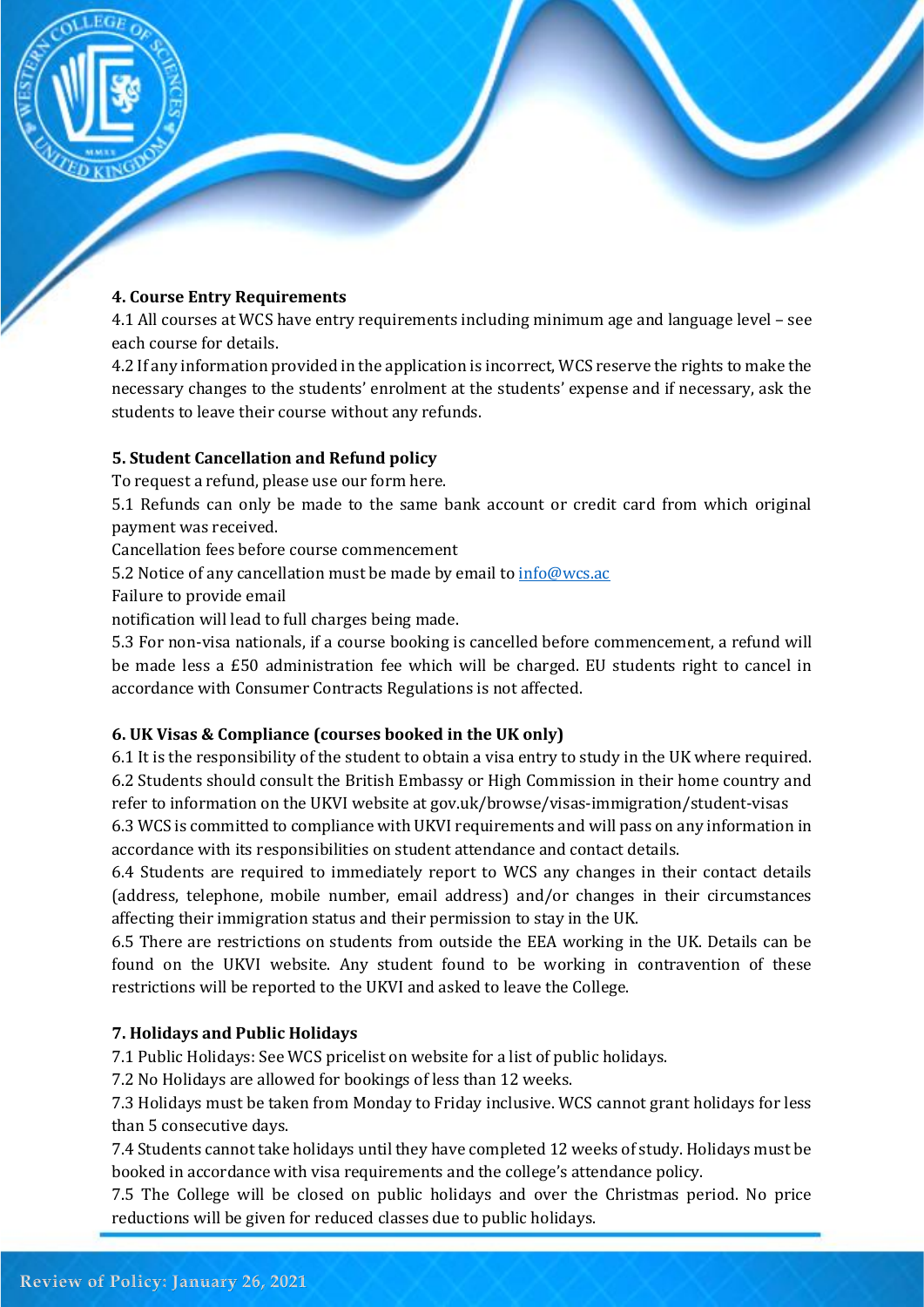

## **4. Course Entry Requirements**

4.1 All courses at WCS have entry requirements including minimum age and language level – see each course for details.

4.2 If any information provided in the application is incorrect, WCS reserve the rights to make the necessary changes to the students' enrolment at the students' expense and if necessary, ask the students to leave their course without any refunds.

## **5. Student Cancellation and Refund policy**

To request a refund, please use our form here.

5.1 Refunds can only be made to the same bank account or credit card from which original payment was received.

Cancellation fees before course commencement

5.2 Notice of any cancellation must be made by email t[o info@wcs.ac](mailto:info@wcs.ac)

Failure to provide email

notification will lead to full charges being made.

5.3 For non-visa nationals, if a course booking is cancelled before commencement, a refund will be made less a £50 administration fee which will be charged. EU students right to cancel in accordance with Consumer Contracts Regulations is not affected.

## **6. UK Visas & Compliance (courses booked in the UK only)**

6.1 It is the responsibility of the student to obtain a visa entry to study in the UK where required. 6.2 Students should consult the British Embassy or High Commission in their home country and refer to information on the UKVI website at gov.uk/browse/visas-immigration/student-visas

6.3 WCS is committed to compliance with UKVI requirements and will pass on any information in accordance with its responsibilities on student attendance and contact details.

6.4 Students are required to immediately report to WCS any changes in their contact details (address, telephone, mobile number, email address) and/or changes in their circumstances affecting their immigration status and their permission to stay in the UK.

6.5 There are restrictions on students from outside the EEA working in the UK. Details can be found on the UKVI website. Any student found to be working in contravention of these restrictions will be reported to the UKVI and asked to leave the College.

## **7. Holidays and Public Holidays**

7.1 Public Holidays: See WCS pricelist on website for a list of public holidays.

7.2 No Holidays are allowed for bookings of less than 12 weeks.

7.3 Holidays must be taken from Monday to Friday inclusive. WCS cannot grant holidays for less than 5 consecutive days.

7.4 Students cannot take holidays until they have completed 12 weeks of study. Holidays must be booked in accordance with visa requirements and the college's attendance policy.

7.5 The College will be closed on public holidays and over the Christmas period. No price reductions will be given for reduced classes due to public holidays.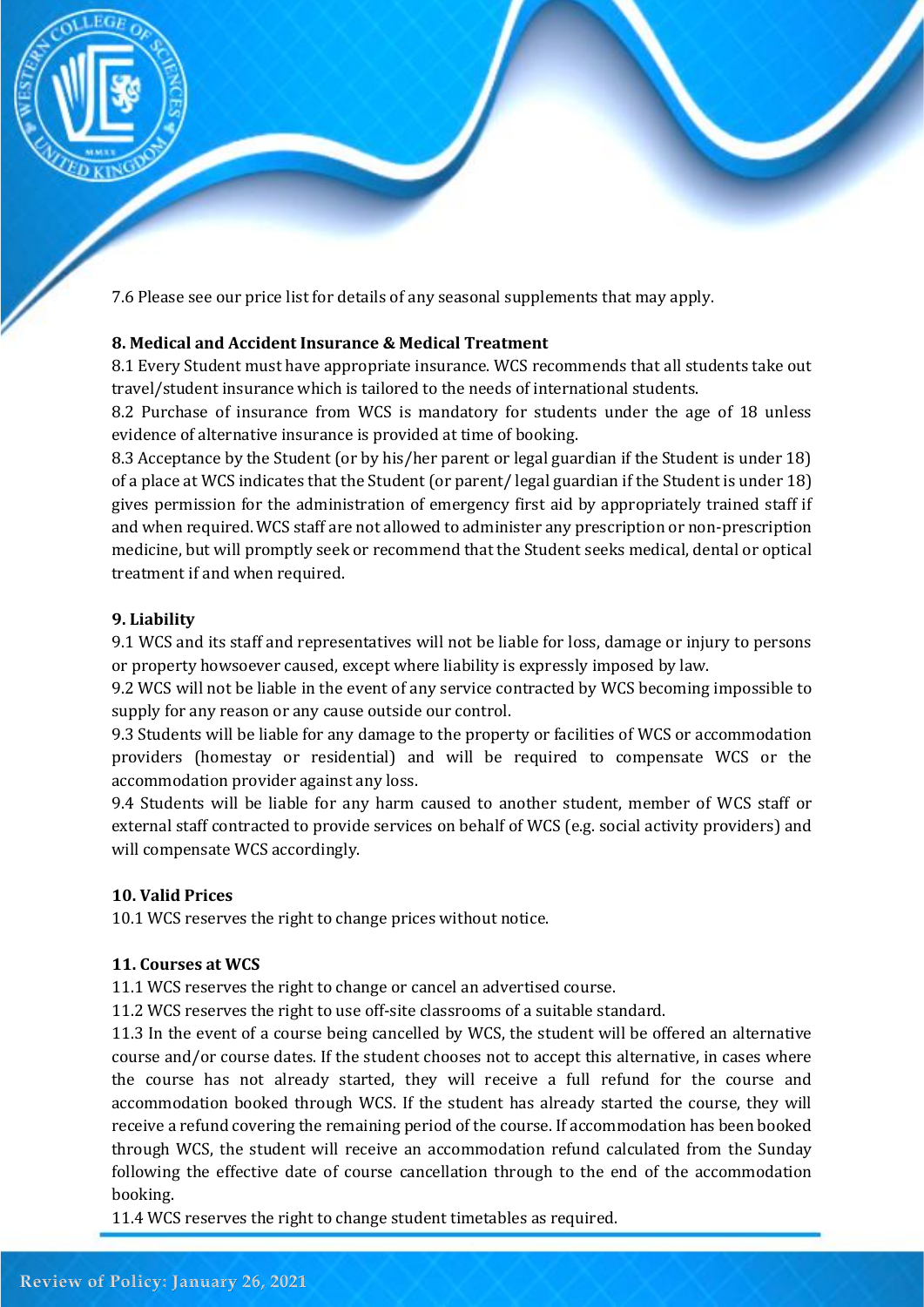

7.6 Please see our price list for details of any seasonal supplements that may apply.

## **8. Medical and Accident Insurance & Medical Treatment**

8.1 Every Student must have appropriate insurance. WCS recommends that all students take out travel/student insurance which is tailored to the needs of international students.

8.2 Purchase of insurance from WCS is mandatory for students under the age of 18 unless evidence of alternative insurance is provided at time of booking.

8.3 Acceptance by the Student (or by his/her parent or legal guardian if the Student is under 18) of a place at WCS indicates that the Student (or parent/ legal guardian if the Student is under 18) gives permission for the administration of emergency first aid by appropriately trained staff if and when required. WCS staff are not allowed to administer any prescription or non-prescription medicine, but will promptly seek or recommend that the Student seeks medical, dental or optical treatment if and when required.

### **9. Liability**

9.1 WCS and its staff and representatives will not be liable for loss, damage or injury to persons or property howsoever caused, except where liability is expressly imposed by law.

9.2 WCS will not be liable in the event of any service contracted by WCS becoming impossible to supply for any reason or any cause outside our control.

9.3 Students will be liable for any damage to the property or facilities of WCS or accommodation providers (homestay or residential) and will be required to compensate WCS or the accommodation provider against any loss.

9.4 Students will be liable for any harm caused to another student, member of WCS staff or external staff contracted to provide services on behalf of WCS (e.g. social activity providers) and will compensate WCS accordingly.

### **10. Valid Prices**

10.1 WCS reserves the right to change prices without notice.

### **11. Courses at WCS**

11.1 WCS reserves the right to change or cancel an advertised course.

11.2 WCS reserves the right to use off-site classrooms of a suitable standard.

11.3 In the event of a course being cancelled by WCS, the student will be offered an alternative course and/or course dates. If the student chooses not to accept this alternative, in cases where the course has not already started, they will receive a full refund for the course and accommodation booked through WCS. If the student has already started the course, they will receive a refund covering the remaining period of the course. If accommodation has been booked through WCS, the student will receive an accommodation refund calculated from the Sunday following the effective date of course cancellation through to the end of the accommodation booking.

11.4 WCS reserves the right to change student timetables as required.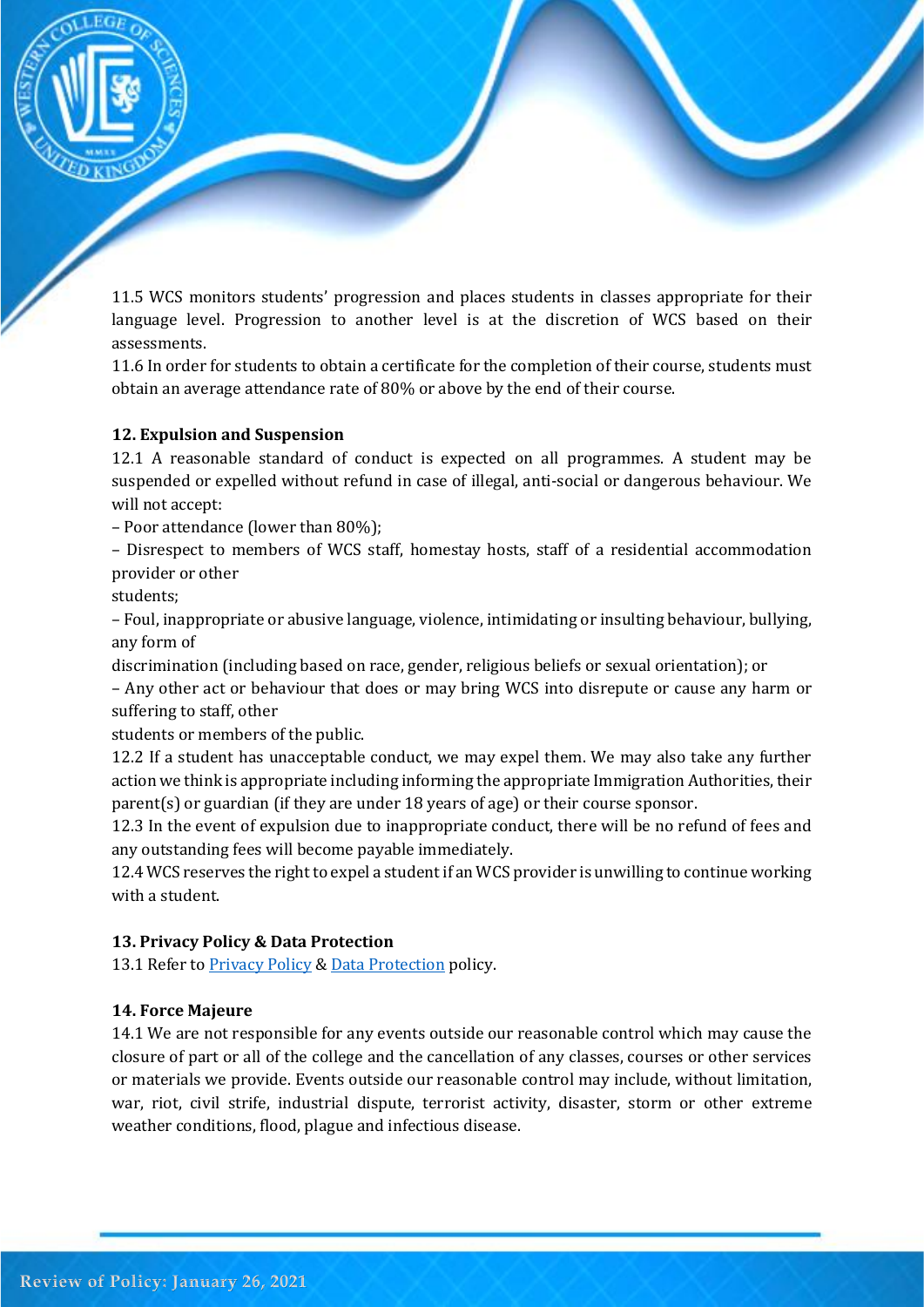

11.5 WCS monitors students' progression and places students in classes appropriate for their language level. Progression to another level is at the discretion of WCS based on their assessments.

11.6 In order for students to obtain a certificate for the completion of their course, students must obtain an average attendance rate of 80% or above by the end of their course.

## **12. Expulsion and Suspension**

12.1 A reasonable standard of conduct is expected on all programmes. A student may be suspended or expelled without refund in case of illegal, anti-social or dangerous behaviour. We will not accept:

– Poor attendance (lower than 80%);

– Disrespect to members of WCS staff, homestay hosts, staff of a residential accommodation provider or other

students;

– Foul, inappropriate or abusive language, violence, intimidating or insulting behaviour, bullying, any form of

discrimination (including based on race, gender, religious beliefs or sexual orientation); or

– Any other act or behaviour that does or may bring WCS into disrepute or cause any harm or suffering to staff, other

students or members of the public.

12.2 If a student has unacceptable conduct, we may expel them. We may also take any further action we think is appropriate including informing the appropriate Immigration Authorities, their parent(s) or guardian (if they are under 18 years of age) or their course sponsor.

12.3 In the event of expulsion due to inappropriate conduct, there will be no refund of fees and any outstanding fees will become payable immediately.

12.4 WCS reserves the right to expel a student if an WCS provider is unwilling to continue working with a student.

## **13. Privacy Policy & Data Protection**

13.1 Refer to **Privacy Policy [& Data Protection](datapolicy.pdf)** policy.

## **14. Force Majeure**

14.1 We are not responsible for any events outside our reasonable control which may cause the closure of part or all of the college and the cancellation of any classes, courses or other services or materials we provide. Events outside our reasonable control may include, without limitation, war, riot, civil strife, industrial dispute, terrorist activity, disaster, storm or other extreme weather conditions, flood, plague and infectious disease.